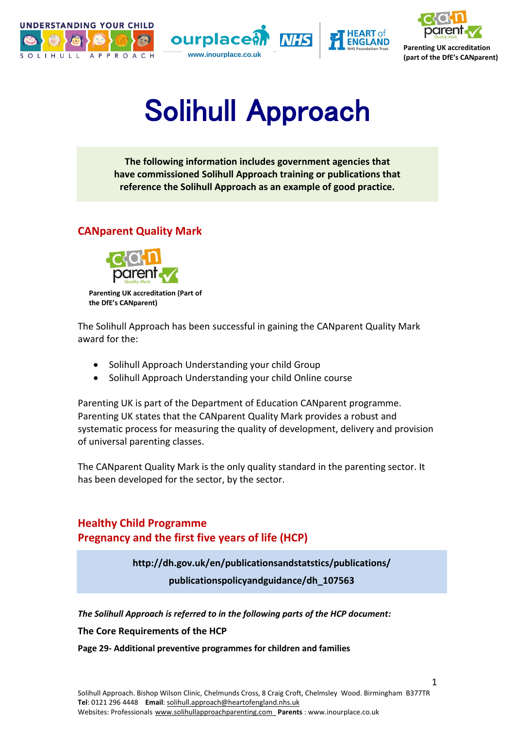





**Parenting UK accreditation** 

# Solihull Approach

**The following information includes government agencies that have commissioned Solihull Approach training or publications that reference the Solihull Approach as an example of good practice.**

## **CANparent Quality Mark**



**Parenting UK accreditation (Part of the DfE's CANparent)**

The Solihull Approach has been successful in gaining the CANparent Quality Mark award for the:

- Solihull Approach Understanding your child Group
- Solihull Approach Understanding your child Online course

Parenting UK is part of the Department of Education CANparent programme. Parenting UK states that the CANparent Quality Mark provides a robust and systematic process for measuring the quality of development, delivery and provision of universal parenting classes.

The CANparent Quality Mark is the only quality standard in the parenting sector. It has been developed for the sector, by the sector.

## **Healthy Child Programme Pregnancy and the first five years of life (HCP)**

**http://dh.gov.uk/en/publicationsandstatstics/publications/**

**publicationspolicyandguidance/dh\_107563**

*The Solihull Approach is referred to in the following parts of the HCP document:*

**The Core Requirements of the HCP**

**Page 29- Additional preventive programmes for children and families**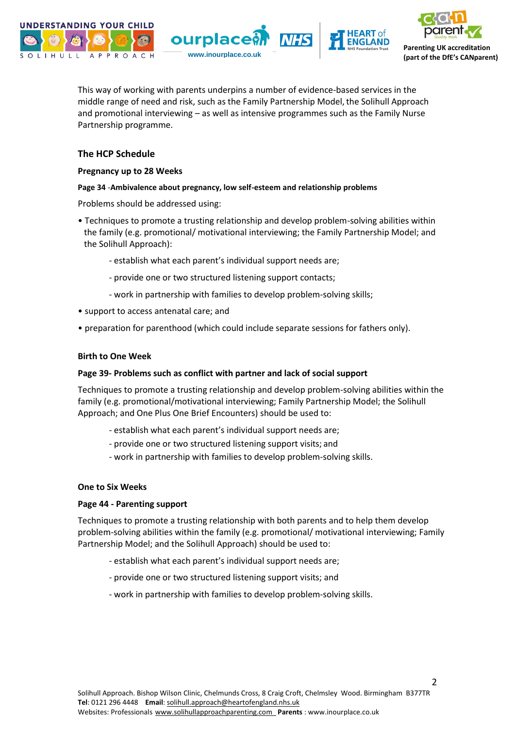







This way of working with parents underpins a number of evidence-based services in the middle range of need and risk, such as the Family Partnership Model, the Solihull Approach and promotional interviewing – as well as intensive programmes such as the Family Nurse Partnership programme.

#### **The HCP Schedule**

#### **Pregnancy up to 28 Weeks**

#### **Page 34** -**Ambivalence about pregnancy, low self-esteem and relationship problems**

Problems should be addressed using:

- Techniques to promote a trusting relationship and develop problem-solving abilities within the family (e.g. promotional/ motivational interviewing; the Family Partnership Model; and the Solihull Approach):
	- establish what each parent's individual support needs are;
	- provide one or two structured listening support contacts;
	- work in partnership with families to develop problem-solving skills;
- support to access antenatal care; and
- preparation for parenthood (which could include separate sessions for fathers only).

#### **Birth to One Week**

#### **Page 39- Problems such as conflict with partner and lack of social support**

Techniques to promote a trusting relationship and develop problem-solving abilities within the family (e.g. promotional/motivational interviewing; Family Partnership Model; the Solihull Approach; and One Plus One Brief Encounters) should be used to:

- establish what each parent's individual support needs are;
- provide one or two structured listening support visits; and
- work in partnership with families to develop problem-solving skills.

#### **One to Six Weeks**

#### **Page 44 - Parenting support**

Techniques to promote a trusting relationship with both parents and to help them develop problem-solving abilities within the family (e.g. promotional/ motivational interviewing; Family Partnership Model; and the Solihull Approach) should be used to:

- establish what each parent's individual support needs are;
- provide one or two structured listening support visits; and
- work in partnership with families to develop problem-solving skills.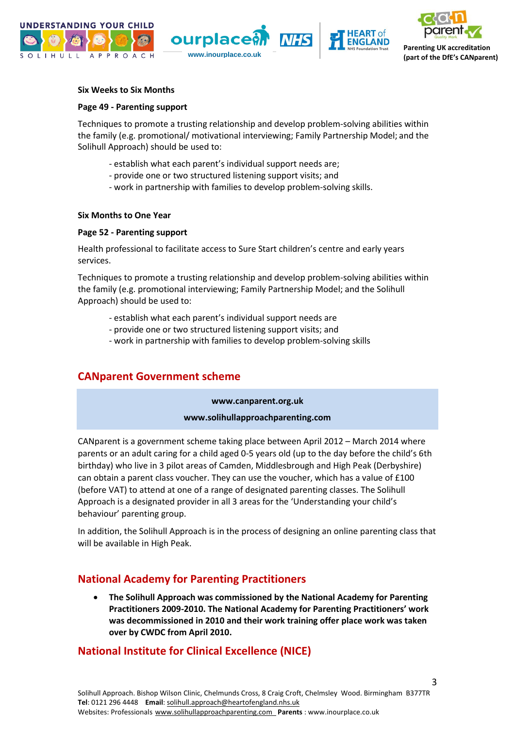





#### **Six Weeks to Six Months**

#### **Page 49 - Parenting support**

Techniques to promote a trusting relationship and develop problem-solving abilities within the family (e.g. promotional/ motivational interviewing; Family Partnership Model; and the Solihull Approach) should be used to:

- establish what each parent's individual support needs are;
- provide one or two structured listening support visits; and
- work in partnership with families to develop problem-solving skills.

#### **Six Months to One Year**

#### **Page 52 - Parenting support**

Health professional to facilitate access to Sure Start children's centre and early years services.

Techniques to promote a trusting relationship and develop problem-solving abilities within the family (e.g. promotional interviewing; Family Partnership Model; and the Solihull Approach) should be used to:

- establish what each parent's individual support needs are
- provide one or two structured listening support visits; and
- work in partnership with families to develop problem-solving skills

### **CANparent Government scheme**

**[www.canparent.org.uk](http://www.canparent.org.uk/)**

#### **[www.solihullapproachparenting.com](http://www.solihullapproachparenting.com/)**

CANparent is a government scheme taking place between April 2012 – March 2014 where parents or an adult caring for a child aged 0-5 years old (up to the day before the child's 6th birthday) who live in 3 pilot areas of Camden, Middlesbrough and High Peak (Derbyshire) can obtain a parent class voucher. They can use the voucher, which has a value of £100 (before VAT) to attend at one of a range of designated parenting classes. The Solihull Approach is a designated provider in all 3 areas for the 'Understanding your child's behaviour' parenting group.

In addition, the Solihull Approach is in the process of designing an online parenting class that will be available in High Peak.

### **National Academy for Parenting Practitioners**

 **The Solihull Approach was commissioned by the National Academy for Parenting Practitioners 2009-2010. The National Academy for Parenting Practitioners' work was decommissioned in 2010 and their work training offer place work was taken over by CWDC from April 2010.** 

## **National Institute for Clinical Excellence (NICE)**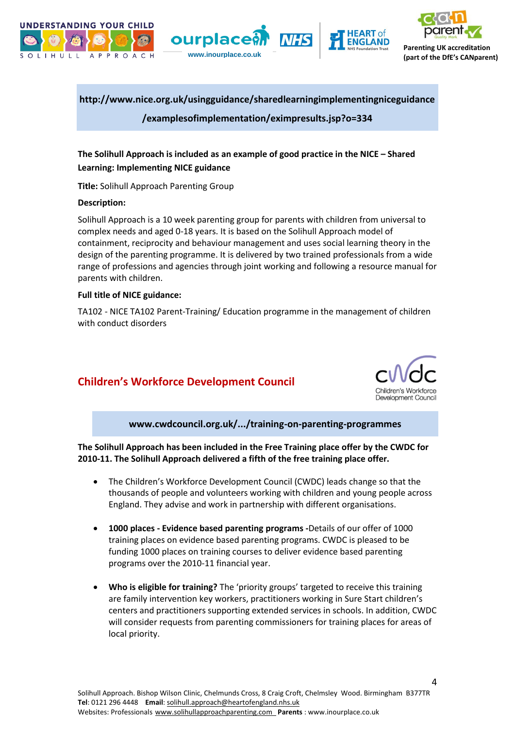







**(part of the DfE's CANparent) www.inourplace.co.uk**

## **[http://www.nice.org.uk/usingguidance/sharedlearningimplementingniceguidance](http://www.nice.org.uk/usingguidance/sharedlearningimplementingniceguidance/examplesofimplementation/eximpresults.jsp?o=334)**

**[/examplesofimplementation/eximpresults.jsp?o=334](http://www.nice.org.uk/usingguidance/sharedlearningimplementingniceguidance/examplesofimplementation/eximpresults.jsp?o=334)**

### **The Solihull Approach is included as an example of good practice in the NICE – Shared Learning: Implementing NICE guidance**

**Title:** Solihull Approach Parenting Group

#### **Description:**

Solihull Approach is a 10 week parenting group for parents with children from universal to complex needs and aged 0-18 years. It is based on the Solihull Approach model of containment, reciprocity and behaviour management and uses social learning theory in the design of the parenting programme. It is delivered by two trained professionals from a wide range of professions and agencies through joint working and following a resource manual for parents with children.

#### **Full title of NICE guidance:**

TA102 - NICE TA102 Parent-Training/ Education programme in the management of children with conduct disorders

## **Children's Workforce Development Council**



**www.cwdcouncil.org.uk/.../training-on-parenting-programmes**

**The Solihull Approach has been included in the Free Training place offer by the CWDC for 2010-11. The Solihull Approach delivered a fifth of the free training place offer.**

- The Children's Workforce Development Council (CWDC) leads change so that the thousands of people and volunteers working with children and young people across England. They advise and work in partnership with different organisations.
- **1000 places - Evidence based parenting programs -**Details of our offer of 1000 training places on evidence based parenting programs. CWDC is pleased to be funding 1000 places on training courses to deliver evidence based parenting programs over the 2010-11 financial year.
- **Who is eligible for training?** The 'priority groups' targeted to receive this training are family intervention key workers, practitioners working in Sure Start children's centers and practitioners supporting extended services in schools. In addition, CWDC will consider requests from parenting commissioners for training places for areas of local priority.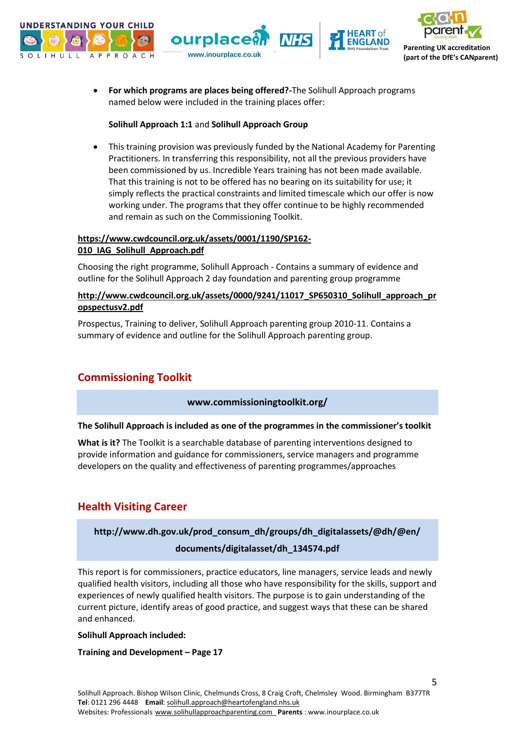





 **For which programs are places being offered?-**The Solihull Approach programs named below were included in the training places offer:

#### **Solihull Approach 1:1** and **Solihull Approach Group**

 This training provision was previously funded by the National Academy for Parenting Practitioners. In transferring this responsibility, not all the previous providers have been commissioned by us. Incredible Years training has not been made available. That this training is not to be offered has no bearing on its suitability for use; it simply reflects the practical constraints and limited timescale which our offer is now working under. The programs that they offer continue to be highly recommended and remain as such on the Commissioning Toolkit.

#### **[https://www.cwdcouncil.org.uk/assets/0001/1190/SP162-](https://www.cwdcouncil.org.uk/assets/0001/1190/SP162-010_IAG_Solihull_Approach.pdf) [010\\_IAG\\_Solihull\\_Approach.pdf](https://www.cwdcouncil.org.uk/assets/0001/1190/SP162-010_IAG_Solihull_Approach.pdf)**

Choosing the right programme, Solihull Approach - Contains a summary of evidence and outline for the Solihull Approach 2 day foundation and parenting group programme

#### **http://www.cwdcouncil.org.uk/assets/0000/9241/11017\_SP650310\_Solihull\_approach\_pr opspectusv2.pdf**

Prospectus, Training to deliver, Solihull Approach parenting group 2010-11. Contains a summary of evidence and outline for the Solihull Approach parenting group.

## **Commissioning Toolkit**

#### **[www.commissioningtoolkit.org/](http://www.commissioningtoolkit.org/)**

#### **The Solihull Approach is included as one of the programmes in the commissioner's toolkit**

**What is it?** The Toolkit is a searchable database of parenting interventions designed to provide information and guidance for commissioners, service managers and programme developers on the quality and effectiveness of parenting programmes/approaches

## **Health Visiting Career**

## **http://www.dh.gov.uk/prod\_consum\_dh/groups/dh\_digitalassets/@dh/@en/ documents/digitalasset/dh\_134574.pdf**

This report is for commissioners, practice educators, line managers, service leads and newly qualified health visitors, including all those who have responsibility for the skills, support and experiences of newly qualified health visitors. The purpose is to gain understanding of the current picture, identify areas of good practice, and suggest ways that these can be shared and enhanced.

#### **Solihull Approach included:**

#### **Training and Development – Page 17**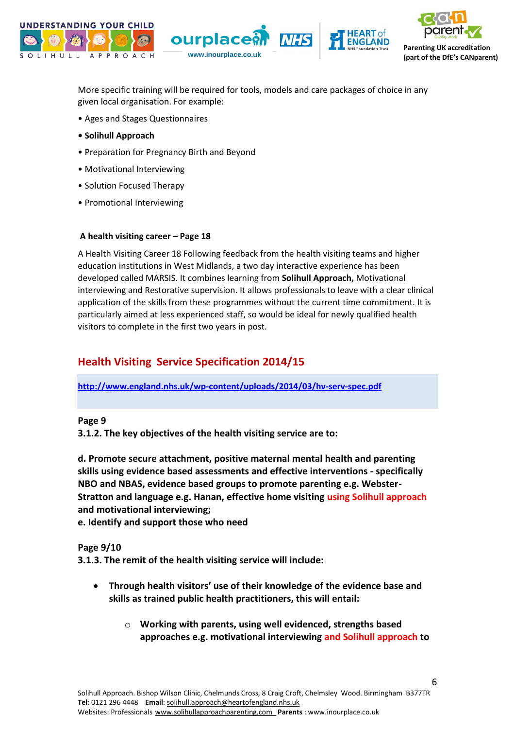





**Parenting UK accreditation** 

More specific training will be required for tools, models and care packages of choice in any given local organisation. For example:

- Ages and Stages Questionnaires
- **Solihull Approach**
- Preparation for Pregnancy Birth and Beyond
- Motivational Interviewing
- Solution Focused Therapy
- Promotional Interviewing

#### **A health visiting career – Page 18**

A Health Visiting Career 18 Following feedback from the health visiting teams and higher education institutions in West Midlands, a two day interactive experience has been developed called MARSIS. It combines learning from **Solihull Approach,** Motivational interviewing and Restorative supervision. It allows professionals to leave with a clear clinical application of the skills from these programmes without the current time commitment. It is particularly aimed at less experienced staff, so would be ideal for newly qualified health visitors to complete in the first two years in post.

## **Health Visiting Service Specification 2014/15**

**<http://www.england.nhs.uk/wp-content/uploads/2014/03/hv-serv-spec.pdf>**

#### **Page 9**

**3.1.2. The key objectives of the health visiting service are to:**

**d. Promote secure attachment, positive maternal mental health and parenting skills using evidence based assessments and effective interventions - specifically NBO and NBAS, evidence based groups to promote parenting e.g. Webster-Stratton and language e.g. Hanan, effective home visiting using Solihull approach and motivational interviewing;**

**e. Identify and support those who need**

#### **Page 9/10**

**3.1.3. The remit of the health visiting service will include:**

- **Through health visitors' use of their knowledge of the evidence base and skills as trained public health practitioners, this will entail:**
	- o **Working with parents, using well evidenced, strengths based approaches e.g. motivational interviewing and Solihull approach to**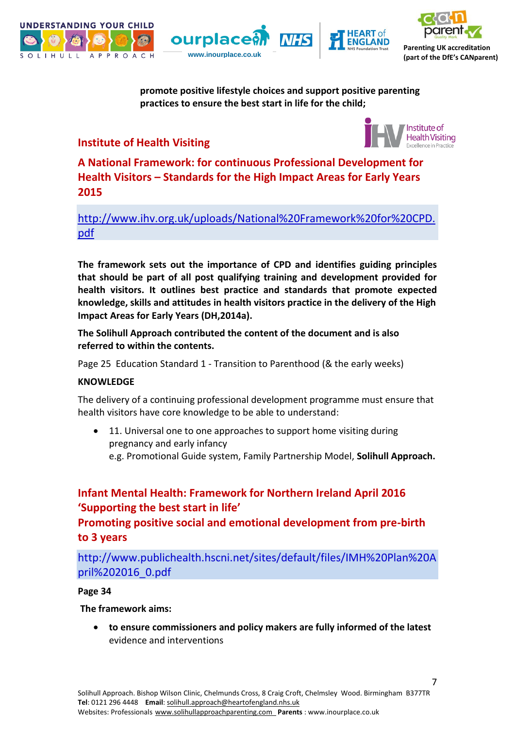







**promote positive lifestyle choices and support positive parenting practices to ensure the best start in life for the child;**

## **Institute of Health Visiting**



**A National Framework: for continuous Professional Development for Health Visitors – Standards for the High Impact Areas for Early Years 2015**

[http://www.ihv.org.uk/uploads/National%20Framework%20for%20CPD.](http://www.ihv.org.uk/uploads/National%20Framework%20for%20CPD.pdf) [pdf](http://www.ihv.org.uk/uploads/National%20Framework%20for%20CPD.pdf)

**The framework sets out the importance of CPD and identifies guiding principles that should be part of all post qualifying training and development provided for health visitors. It outlines best practice and standards that promote expected knowledge, skills and attitudes in health visitors practice in the delivery of the High Impact Areas for Early Years (DH,2014a).**

**The Solihull Approach contributed the content of the document and is also referred to within the contents.**

Page 25 Education Standard 1 - Transition to Parenthood (& the early weeks)

### **KNOWLEDGE**

The delivery of a continuing professional development programme must ensure that health visitors have core knowledge to be able to understand:

• 11. Universal one to one approaches to support home visiting during pregnancy and early infancy e.g. Promotional Guide system, Family Partnership Model, **Solihull Approach.**

## **Infant Mental Health: Framework for Northern Ireland April 2016 'Supporting the best start in life'**

**Promoting positive social and emotional development from pre-birth to 3 years**

http://www.publichealth.hscni.net/sites/default/files/IMH%20Plan%20A pril%202016\_0.pdf

### **Page 34**

#### **The framework aims:**

 **to ensure commissioners and policy makers are fully informed of the latest**  evidence and interventions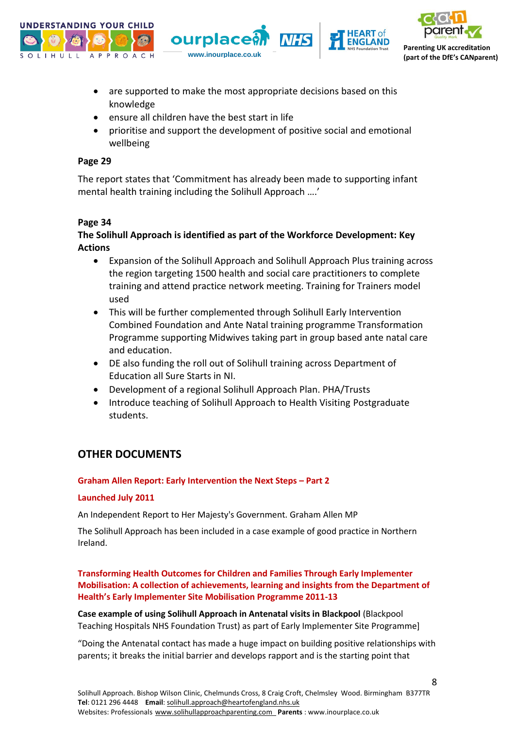





- are supported to make the most appropriate decisions based on this knowledge
- ensure all children have the best start in life
- prioritise and support the development of positive social and emotional wellbeing

#### **Page 29**

The report states that 'Commitment has already been made to supporting infant mental health training including the Solihull Approach ….'

#### **Page 34**

## **The Solihull Approach is identified as part of the Workforce Development: Key Actions**

- Expansion of the Solihull Approach and Solihull Approach Plus training across the region targeting 1500 health and social care practitioners to complete training and attend practice network meeting. Training for Trainers model used
- This will be further complemented through Solihull Early Intervention Combined Foundation and Ante Natal training programme Transformation Programme supporting Midwives taking part in group based ante natal care and education.
- DE also funding the roll out of Solihull training across Department of Education all Sure Starts in NI.
- Development of a regional Solihull Approach Plan. PHA/Trusts
- Introduce teaching of Solihull Approach to Health Visiting Postgraduate students.

## **OTHER DOCUMENTS**

#### **Graham Allen Report: Early Intervention the Next Steps – Part 2**

#### **Launched July 2011**

An Independent Report to Her Majesty's Government. Graham Allen MP

The Solihull Approach has been included in a case example of good practice in Northern Ireland.

**Transforming Health Outcomes for Children and Families Through Early Implementer Mobilisation: A collection of achievements, learning and insights from the Department of Health's Early Implementer Site Mobilisation Programme 2011-13**

**Case example of using Solihull Approach in Antenatal visits in Blackpool** (Blackpool Teaching Hospitals NHS Foundation Trust) as part of Early Implementer Site Programme]

"Doing the Antenatal contact has made a huge impact on building positive relationships with parents; it breaks the initial barrier and develops rapport and is the starting point that